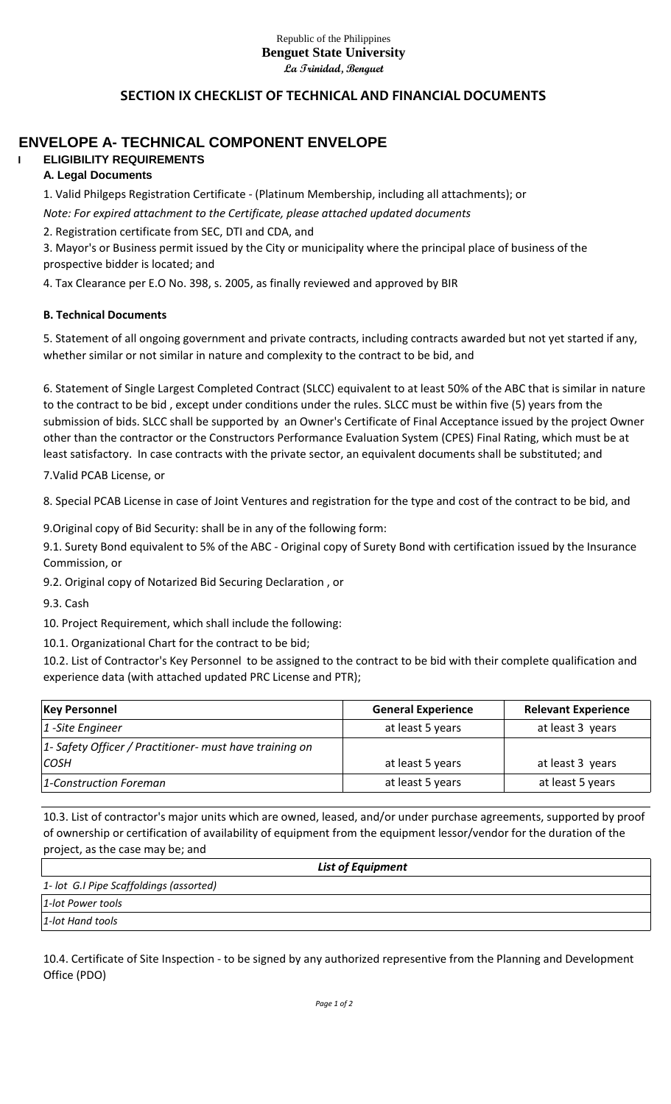#### Republic of the Philippines **Benguet State University La Trinidad, Benguet**

## **SECTION IX CHECKLIST OF TECHNICAL AND FINANCIAL DOCUMENTS**

# **ENVELOPE A- TECHNICAL COMPONENT ENVELOPE**

#### **I ELIGIBILITY REQUIREMENTS A. Legal Documents**

1. Valid Philgeps Registration Certificate - (Platinum Membership, including all attachments); or *Note: For expired attachment to the Certificate, please attached updated documents*

2. Registration certificate from SEC, DTI and CDA, and

3. Mayor's or Business permit issued by the City or municipality where the principal place of business of the prospective bidder is located; and

4. Tax Clearance per E.O No. 398, s. 2005, as finally reviewed and approved by BIR

#### **B. Technical Documents**

5. Statement of all ongoing government and private contracts, including contracts awarded but not yet started if any, whether similar or not similar in nature and complexity to the contract to be bid, and

6. Statement of Single Largest Completed Contract (SLCC) equivalent to at least 50% of the ABC that is similar in nature to the contract to be bid , except under conditions under the rules. SLCC must be within five (5) years from the submission of bids. SLCC shall be supported by an Owner's Certificate of Final Acceptance issued by the project Owner other than the contractor or the Constructors Performance Evaluation System (CPES) Final Rating, which must be at least satisfactory. In case contracts with the private sector, an equivalent documents shall be substituted; and

7.Valid PCAB License, or

8. Special PCAB License in case of Joint Ventures and registration for the type and cost of the contract to be bid, and

9.Original copy of Bid Security: shall be in any of the following form:

9.1. Surety Bond equivalent to 5% of the ABC - Original copy of Surety Bond with certification issued by the Insurance Commission, or

9.2. Original copy of Notarized Bid Securing Declaration , or

9.3. Cash

10. Project Requirement, which shall include the following:

10.1. Organizational Chart for the contract to be bid;

10.2. List of Contractor's Key Personnel to be assigned to the contract to be bid with their complete qualification and experience data (with attached updated PRC License and PTR);

| <b>Key Personnel</b>                                    | <b>General Experience</b> | <b>Relevant Experience</b> |
|---------------------------------------------------------|---------------------------|----------------------------|
| $ 1 - \text{Site Engineer} $                            | at least 5 years          | at least 3 years           |
| 1- Safety Officer / Practitioner- must have training on |                           |                            |
| <i>COSH</i>                                             | at least 5 years          | at least 3 years           |
| 1-Construction Foreman                                  | at least 5 years          | at least 5 years           |

10.3. List of contractor's major units which are owned, leased, and/or under purchase agreements, supported by proof of ownership or certification of availability of equipment from the equipment lessor/vendor for the duration of the project, as the case may be; and

| <b>List of Equipment</b>                |  |
|-----------------------------------------|--|
| 1- lot G.I Pipe Scaffoldings (assorted) |  |
| 1-lot Power tools                       |  |
| 1-lot Hand tools                        |  |

10.4. Certificate of Site Inspection - to be signed by any authorized representive from the Planning and Development Office (PDO)